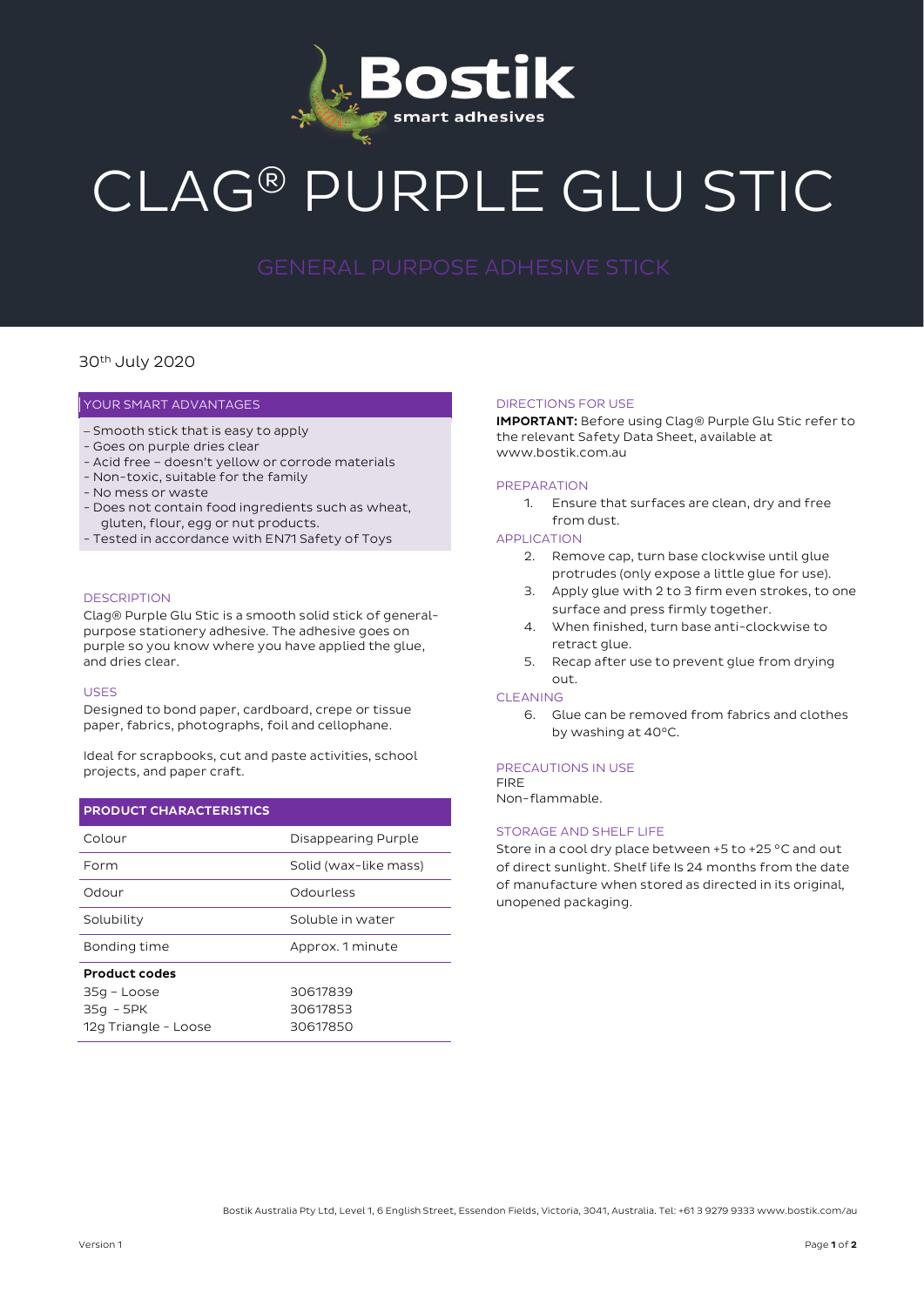

# CLAG® PURPLE GLU STIC

# 30th July 2020

# YOUR SMART ADVANTAGES

- Smooth stick that is easy to apply
- Goes on purple dries clear
- Acid free doesn't yellow or corrode materials
- Non-toxic, suitable for the family
- No mess or waste
- Does not contain food ingredients such as wheat, gluten, flour, egg or nut products.
- Tested in accordance with EN71 Safety of Toys

## **DESCRIPTION**

Clag® Purple Glu Stic is a smooth solid stick of generalpurpose stationery adhesive. The adhesive goes on purple so you know where you have applied the glue, and dries clear.

#### USES

Designed to bond paper, cardboard, crepe or tissue paper, fabrics, photographs, foil and cellophane.

Ideal for scrapbooks, cut and paste activities, school projects, and paper craft.

# PRODUCT CHARACTERISTICS

| Colour               | Disappearing Purple   |
|----------------------|-----------------------|
| Form                 | Solid (wax-like mass) |
| Odour                | Odourless             |
| Solubility           | Soluble in water      |
| Bonding time         | Approx. 1 minute      |
| <b>Product codes</b> |                       |
| 35g - Loose          | 30617839              |
| 35g - 5PK            | 30617853              |
| 12g Triangle - Loose | 30617850              |

#### DIRECTIONS FOR USE

IMPORTANT: Before using Clag® Purple Glu Stic refer to the relevant Safety Data Sheet, available at www.bostik.com.au

# PREPARATION

1. Ensure that surfaces are clean, dry and free from dust.

# APPLICATION

- 2. Remove cap, turn base clockwise until glue protrudes (only expose a little glue for use).
- 3. Apply glue with 2 to 3 firm even strokes, to one surface and press firmly together.
- 4. When finished, turn base anti-clockwise to retract glue.
- 5. Recap after use to prevent glue from drying out.

# CLEANING

6. Glue can be removed from fabrics and clothes by washing at 40°C.

# PRECAUTIONS IN USE

FIRE Non-flammable.

# STORAGE AND SHELF LIFE

Store in a cool dry place between +5 to +25 °C and out of direct sunlight. Shelf life Is 24 months from the date of manufacture when stored as directed in its original, unopened packaging.

Bostik Australia Pty Ltd, Level 1, 6 English Street, Essendon Fields, Victoria, 3041, Australia. Tel: +61 3 9279 9333 www.bostik.com/au